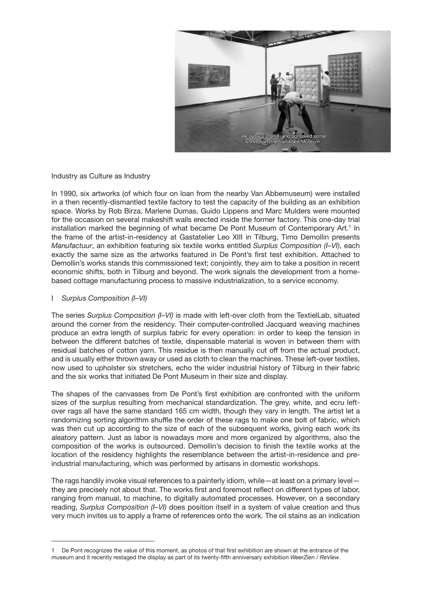

## Industry as Culture as Industry

In 1990, six artworks (of which four on loan from the nearby Van Abbemuseum) were installed in a then recently-dismantled textile factory to test the capacity of the building as an exhibition space. Works by Rob Birza, Marlene Dumas, Guido Lippens and Marc Mulders were mounted for the occasion on several makeshift walls erected inside the former factory. This one-day trial installation marked the beginning of what became De Pont Museum of Contemporary Art.<sup>1</sup> In the frame of the artist-in-residency at Gastatelier Leo XIII in Tilburg, Timo Demollin presents *Manufactuur*, an exhibition featuring six textile works entitled *Surplus Composition (I–VI)*, each exactly the same size as the artworks featured in De Pont's first test exhibition. Attached to Demollin's works stands this commissioned text; conjointly, they aim to take a position in recent economic shifts, both in Tilburg and beyond. The work signals the development from a homebased cottage manufacturing process to massive industrialization, to a service economy.

## I *Surplus Composition (I–VI)*

The series *Surplus Composition (I–VI)* is made with left-over cloth from the TextielLab, situated around the corner from the residency. Their computer-controlled Jacquard weaving machines produce an extra length of surplus fabric for every operation: in order to keep the tension in between the different batches of textile, dispensable material is woven in between them with residual batches of cotton yarn. This residue is then manually cut off from the actual product, and is usually either thrown away or used as cloth to clean the machines. These left-over textiles, now used to upholster six stretchers, echo the wider industrial history of Tilburg in their fabric and the six works that initiated De Pont Museum in their size and display.

The shapes of the canvasses from De Pont's first exhibition are confronted with the uniform sizes of the surplus resulting from mechanical standardization. The grey, white, and ecru leftover rags all have the same standard 165 cm width, though they vary in length. The artist let a randomizing sorting algorithm shuffle the order of these rags to make one bolt of fabric, which was then cut up according to the size of each of the subsequent works, giving each work its aleatory pattern. Just as labor is nowadays more and more organized by algorithms, also the composition of the works is outsourced. Demollin's decision to finish the textile works at the location of the residency highlights the resemblance between the artist-in-residence and preindustrial manufacturing, which was performed by artisans in domestic workshops.

The rags handily invoke visual references to a painterly idiom, while—at least on a primary level they are precisely not about that. The works first and foremost reflect on different types of labor, ranging from manual, to machine, to digitally automated processes. However, on a secondary reading, *Surplus Composition (I–VI)* does position itself in a system of value creation and thus very much invites us to apply a frame of references onto the work. The oil stains as an indication

De Pont recognizes the value of this moment, as photos of that first exhibition are shown at the entrance of the museum and it recently restaged the display as part of its twenty-fifth anniversary exhibition *WeerZien / ReView*.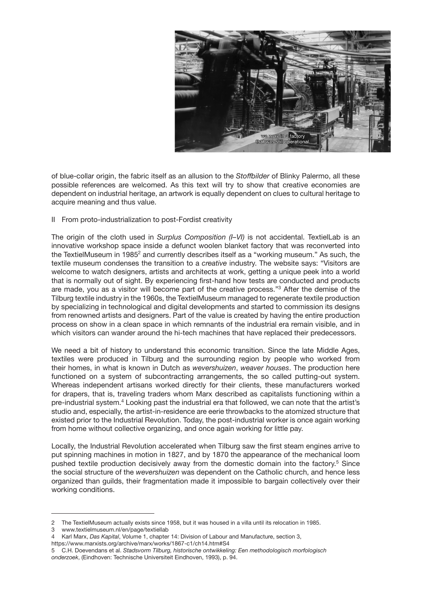

of blue-collar origin, the fabric itself as an allusion to the *Stoffbilder* of Blinky Palermo, all these possible references are welcomed. As this text will try to show that creative economies are dependent on industrial heritage, an artwork is equally dependent on clues to cultural heritage to acquire meaning and thus value.

## II From proto-industrialization to post-Fordist creativity

The origin of the cloth used in *Surplus Composition (I–VI)* is not accidental. TextielLab is an innovative workshop space inside a defunct woolen blanket factory that was reconverted into the TextielMuseum in 1985<sup>2</sup> and currently describes itself as a "working museum." As such, the textile museum condenses the transition to a *creative* industry. The website says: "Visitors are welcome to watch designers, artists and architects at work, getting a unique peek into a world that is normally out of sight. By experiencing first-hand how tests are conducted and products are made, you as a visitor will become part of the creative process."3 After the demise of the Tilburg textile industry in the 1960s, the TextielMuseum managed to regenerate textile production by specializing in technological and digital developments and started to commission its designs from renowned artists and designers. Part of the value is created by having the entire production process on show in a clean space in which remnants of the industrial era remain visible, and in which visitors can wander around the hi-tech machines that have replaced their predecessors.

We need a bit of history to understand this economic transition. Since the late Middle Ages, textiles were produced in Tilburg and the surrounding region by people who worked from their homes, in what is known in Dutch as *wevershuizen*, *weaver houses*. The production here functioned on a system of subcontracting arrangements, the so called putting-out system. Whereas independent artisans worked directly for their clients, these manufacturers worked for drapers, that is, traveling traders whom Marx described as capitalists functioning within a pre-industrial system.4 Looking past the industrial era that followed, we can note that the artist's studio and, especially, the artist-in-residence are eerie throwbacks to the atomized structure that existed prior to the Industrial Revolution. Today, the post-industrial worker is once again working from home without collective organizing, and once again working for little pay.

Locally, the Industrial Revolution accelerated when Tilburg saw the first steam engines arrive to put spinning machines in motion in 1827, and by 1870 the appearance of the mechanical loom pushed textile production decisively away from the domestic domain into the factory.<sup>5</sup> Since the social structure of the *wevershuizen* was dependent on the Catholic church, and hence less organized than guilds, their fragmentation made it impossible to bargain collectively over their working conditions.

https://www.marxists.org/archive/marx/works/1867-c1/ch14.htm#S4

<sup>2</sup> The TextielMuseum actually exists since 1958, but it was housed in a villa until its relocation in 1985.<br>3 www.textielmuseum.nl/en/page/textiellab

<sup>3</sup> www.textielmuseum.nl/en/page/textiellab

<sup>4</sup> Karl Marx, *Das Kapital*, Volume 1, chapter 14: Division of Labour and Manufacture, section 3,

<sup>5</sup> C.H. Doevendans et al. *Stadsvorm Tilburg, historische ontwikkeling: Een methodologisch morfologisch onderzoek*, (Eindhoven: Technische Universiteit Eindhoven, 1993), p. 94.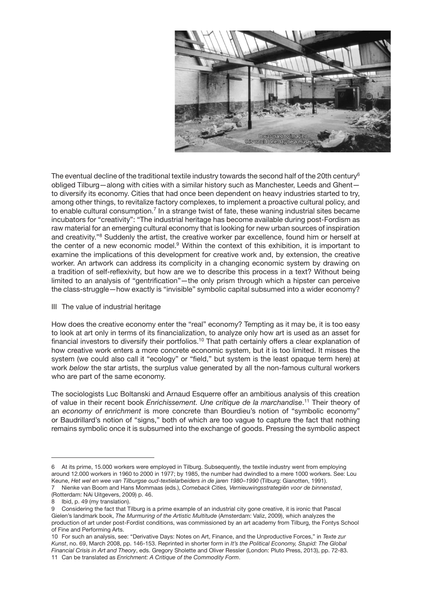

The eventual decline of the traditional textile industry towards the second half of the 20th century<sup>6</sup> obliged Tilburg—along with cities with a similar history such as Manchester, Leeds and Ghent to diversify its economy. Cities that had once been dependent on heavy industries started to try, among other things, to revitalize factory complexes, to implement a proactive cultural policy, and to enable cultural consumption.<sup>7</sup> In a strange twist of fate, these waning industrial sites became incubators for "creativity": "The industrial heritage has become available during post-Fordism as raw material for an emerging cultural economy that is looking for new urban sources of inspiration and creativity."8 Suddenly the artist, the creative worker par excellence, found him or herself at the center of a new economic model.9 Within the context of this exhibition, it is important to examine the implications of this development for creative work and, by extension, the creative worker. An artwork can address its complicity in a changing economic system by drawing on a tradition of self-reflexivity, but how are we to describe this process in a text? Without being limited to an analysis of "gentrification"—the only prism through which a hipster can perceive the class-struggle—how exactly is "invisible" symbolic capital subsumed into a wider economy?

III The value of industrial heritage

How does the creative economy enter the "real" economy? Tempting as it may be, it is too easy to look at art only in terms of its financialization, to analyze only how art is used as an asset for financial investors to diversify their portfolios.<sup>10</sup> That path certainly offers a clear explanation of how creative work enters a more concrete economic system, but it is too limited. It misses the system (we could also call it "ecology" or "field," but system is the least opaque term here) at work *below* the star artists, the surplus value generated by all the non-famous cultural workers who are part of the same economy.

The sociologists Luc Boltanski and Arnaud Esquerre offer an ambitious analysis of this creation of value in their recent book *Enrichissement. Une critique de la marchandise*. 11 Their theory of an *economy of enrichment* is more concrete than Bourdieu's notion of "symbolic economy" or Baudrillard's notion of "signs," both of which are too vague to capture the fact that nothing remains symbolic once it is subsumed into the exchange of goods. Pressing the symbolic aspect

<sup>6</sup> At its prime, 15.000 workers were employed in Tilburg. Subsequently, the textile industry went from employing around 12.000 workers in 1960 to 2000 in 1977; by 1985, the number had dwindled to a mere 1000 workers. See: Lou Keune, *Het wel en wee van Tilburgse oud-textielarbeiders in de jaren 1980–1990* (Tilburg: Gianotten, 1991). 7 Nienke van Boom and Hans Mommaas (eds.), *Comeback Cities, Vernieuwingsstrategiën voor de binnenstad*,

<sup>(</sup>Rotterdam: NAi Uitgevers, 2009) p. 46.

<sup>8</sup> Ibid, p. 49 (my translation).

Considering the fact that Tilburg is a prime example of an industrial city gone creative, it is ironic that Pascal Gielen's landmark book, *The Murmuring of the Artistic Multitude* (Amsterdam: Valiz, 2009), which analyzes the production of art under post-Fordist conditions, was commissioned by an art academy from Tilburg, the Fontys School of Fine and Performing Arts.

<sup>10</sup> For such an analysis, see: "Derivative Days: Notes on Art, Finance, and the Unproductive Forces," in *Texte zur Kunst*, no. 69, March 2008, pp. 146-153. Reprinted in shorter form in *It's the Political Economy, Stupid: The Global Financial Crisis in Art and Theory*, eds. Gregory Sholette and Oliver Ressler (London: Pluto Press, 2013), pp. 72-83. 11 Can be translated as *Enrichment: A Critique of the Commodity Form*.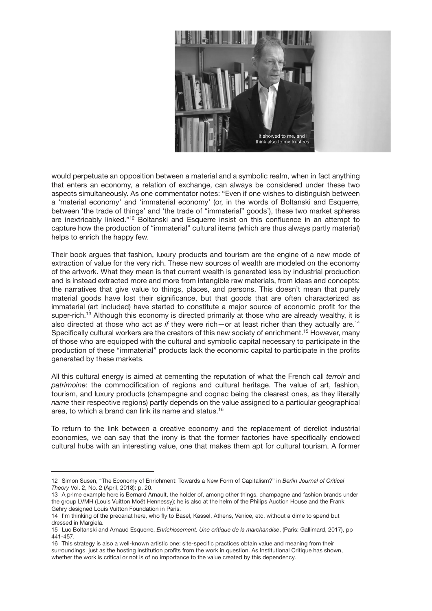

would perpetuate an opposition between a material and a symbolic realm, when in fact anything that enters an economy, a relation of exchange, can always be considered under these two aspects simultaneously. As one commentator notes: "Even if one wishes to distinguish between a 'material economy' and 'immaterial economy' (or, in the words of Boltanski and Esquerre, between 'the trade of things' and 'the trade of "immaterial" goods'), these two market spheres are inextricably linked."<sup>12</sup> Boltanski and Esquerre insist on this confluence in an attempt to capture how the production of "immaterial" cultural items (which are thus always partly material) helps to enrich the happy few.

Their book argues that fashion, luxury products and tourism are the engine of a new mode of extraction of value for the very rich. These new sources of wealth are modeled on the economy of the artwork. What they mean is that current wealth is generated less by industrial production and is instead extracted more and more from intangible raw materials, from ideas and concepts: the narratives that give value to things, places, and persons. This doesn't mean that purely material goods have lost their significance, but that goods that are often characterized as immaterial (art included) have started to constitute a major source of economic profit for the super-rich.<sup>13</sup> Although this economy is directed primarily at those who are already wealthy, it is also directed at those who act *as if* they were rich—or at least richer than they actually are.14 Specifically cultural workers are the creators of this new society of enrichment.<sup>15</sup> However, many of those who are equipped with the cultural and symbolic capital necessary to participate in the production of these "immaterial" products lack the economic capital to participate in the profits generated by these markets.

All this cultural energy is aimed at cementing the reputation of what the French call *terroir* and *patrimoine*: the commodification of regions and cultural heritage. The value of art, fashion, tourism, and luxury products (champagne and cognac being the clearest ones, as they literally *name* their respective regions) partly depends on the value assigned to a particular geographical area, to which a brand can link its name and status.16

To return to the link between a creative economy and the replacement of derelict industrial economies, we can say that the irony is that the former factories have specifically endowed cultural hubs with an interesting value, one that makes them apt for cultural tourism. A former

<sup>12</sup> Simon Susen, "The Economy of Enrichment: Towards a New Form of Capitalism?" in *Berlin Journal of Critical Theory* Vol. 2, No. 2 (April, 2018): p. 20.

<sup>13</sup> A prime example here is Bernard Arnault, the holder of, among other things, champagne and fashion brands under the group LVMH (Louis Vuitton Moët Hennessy); he is also at the helm of the Philips Auction House and the Frank Gehry designed Louis Vuitton Foundation in Paris.

<sup>14</sup> I'm thinking of the precariat here, who fly to Basel, Kassel, Athens, Venice, etc. without a dime to spend but dressed in Margiela.

<sup>15</sup> Luc Boltanski and Arnaud Esquerre, *Enrichissement. Une critique de la marchandise*, (Paris: Gallimard, 2017), pp 441-457.

<sup>16</sup> This strategy is also a well-known artistic one: site-specific practices obtain value and meaning from their surroundings, just as the hosting institution profits from the work in question. As Institutional Critique has shown, whether the work is critical or not is of no importance to the value created by this dependency.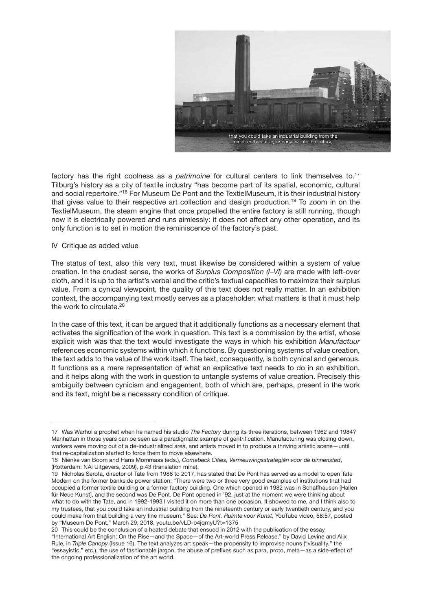

factory has the right coolness as a *patrimoine* for cultural centers to link themselves to.17 Tilburg's history as a city of textile industry "has become part of its spatial, economic, cultural and social repertoire."18 For Museum De Pont and the TextielMuseum, it is their industrial history that gives value to their respective art collection and design production.19 To zoom in on the TextielMuseum, the steam engine that once propelled the entire factory is still running, though now it is electrically powered and runs aimlessly: it does not affect any other operation, and its only function is to set in motion the reminiscence of the factory's past.

## IV Critique as added value

The status of text, also this very text, must likewise be considered within a system of value creation. In the crudest sense, the works of *Surplus Composition (I–VI)* are made with left-over cloth, and it is up to the artist's verbal and the critic's textual capacities to maximize their surplus value. From a cynical viewpoint, the quality of this text does not really matter. In an exhibition context, the accompanying text mostly serves as a placeholder: what matters is that it must help the work to circulate.<sup>20</sup>

In the case of this text, it can be argued that it additionally functions as a necessary element that activates the signification of the work in question. This text is a commission by the artist, whose explicit wish was that the text would investigate the ways in which his exhibition *Manufactuur* references economic systems within which it functions. By questioning systems of value creation, the text adds to the value of the work itself. The text, consequently, is both cynical and generous. It functions as a mere representation of what an explicative text needs to do in an exhibition, and it helps along with the work in question to untangle systems of value creation. Precisely this ambiguity between cynicism and engagement, both of which are, perhaps, present in the work and its text, might be a necessary condition of critique.

<sup>17</sup> Was Warhol a prophet when he named his studio *The Factory* during its three iterations, between 1962 and 1984? Manhattan in those years can be seen as a paradigmatic example of gentrification. Manufacturing was closing down, workers were moving out of a de-industrialized area, and artists moved in to produce a thriving artistic scene—until that re-capitalization started to force them to move elsewhere.

<sup>18</sup> Nienke van Boom and Hans Mommaas (eds.), *Comeback Cities, Vernieuwingsstrategiën voor de binnenstad*, (Rotterdam: NAi Uitgevers, 2009), p.43 (translation mine).

<sup>19</sup> Nicholas Serota, director of Tate from 1988 to 2017, has stated that De Pont has served as a model to open Tate Modern on the former bankside power station: "There were two or three very good examples of institutions that had occupied a former textile building or a former factory building. One which opened in 1982 was in Schaffhausen [Hallen für Neue Kunst], and the second was De Pont. De Pont opened in '92, just at the moment we were thinking about what to do with the Tate, and in 1992-1993 I visited it on more than one occasion. It showed to me, and I think also to my trustees, that you could take an industrial building from the nineteenth century or early twentieth century, and you could make from that building a very fine museum." See: *De Pont. Ruimte voor Kunst*, YouTube video, 58:57, posted by "Museum De Pont," March 29, 2018, youtu.be/vLD-b4jqmyU?t=1375

<sup>20</sup> This could be the conclusion of a heated debate that ensued in 2012 with the publication of the essay "International Art English: On the Rise—and the Space—of the Art-world Press Release," by David Levine and Alix Rule, in *Triple Canopy* (Issue 16). The text analyzes art speak—the propensity to improvise nouns ("visuality," the "essayistic," etc.), the use of fashionable jargon, the abuse of prefixes such as para, proto, meta—as a side-effect of the ongoing professionalization of the art world.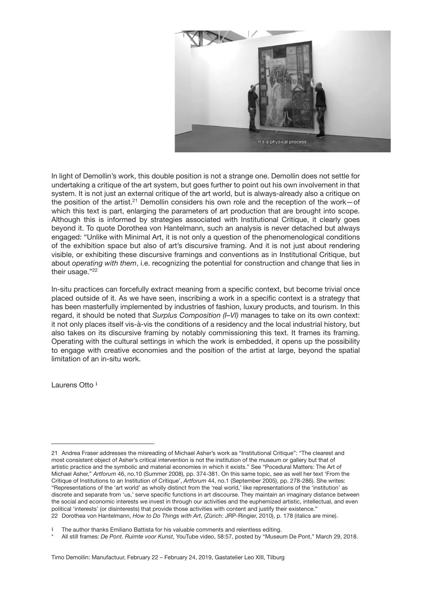

In light of Demollin's work, this double position is not a strange one. Demollin does not settle for undertaking a critique of the art system, but goes further to point out his own involvement in that system. It is not just an external critique of the art world, but is always-already also a critique on the position of the artist.<sup>21</sup> Demollin considers his own role and the reception of the work-of which this text is part, enlarging the parameters of art production that are brought into scope. Although this is informed by strategies associated with Institutional Critique, it clearly goes beyond it. To quote Dorothea von Hantelmann, such an analysis is never detached but always engaged: "Unlike with Minimal Art, it is not only a question of the phenomenological conditions of the exhibition space but also of art's discursive framing. And it is not just about rendering visible, or exhibiting these discursive framings and conventions as in Institutional Critique, but about *operating with them*, i.e. recognizing the potential for construction and change that lies in their usage."<sup>22</sup>

In-situ practices can forcefully extract meaning from a specific context, but become trivial once placed outside of it. As we have seen, inscribing a work in a specific context is a strategy that has been masterfully implemented by industries of fashion, luxury products, and tourism. In this regard, it should be noted that *Surplus Composition (I–VI)* manages to take on its own context: it not only places itself vis-à-vis the conditions of a residency and the local industrial history, but also takes on its discursive framing by notably commissioning this text. It frames its framing. Operating with the cultural settings in which the work is embedded, it opens up the possibility to engage with creative economies and the position of the artist at large, beyond the spatial limitation of an in-situ work.

Laurens Otto i

Timo Demollin: Manufactuur, February 22 – February 24, 2019, Gastatelier Leo XIII, Tilburg

<sup>21</sup> Andrea Fraser addresses the misreading of Michael Asher's work as "Institutional Critique": "The clearest and most consistent object of Asher's critical intervention is not the institution of the museum or gallery but that of artistic practice and the symbolic and material economies in which it exists." See "Pocedural Matters: The Art of Michael Asher," *Artforum* 46, no.10 (Summer 2008), pp. 374-381. On this same topic, see as well her text 'From the Critique of Institutions to an Institution of Critique', *Artforum* 44, no.1 (September 2005), pp. 278-286). She writes: "Representations of the 'art world' as wholly distinct from the 'real world,' like representations of the 'institution' as discrete and separate from 'us,' serve specific functions in art discourse. They maintain an imaginary distance between the social and economic interests we invest in through our activities and the euphemized artistic, intellectual, and even political 'interests' (or disinterests) that provide those activities with content and justify their existence." 22 Dorothea von Hantelmann, *How to Do Things with Art*, (Zürich: JRP-Ringier, 2010), p. 178 (italics are mine).

The author thanks Emiliano Battista for his valuable comments and relentless editing.

<sup>\*</sup> All still frames: *De Pont. Ruimte voor Kunst*, YouTube video, 58:57, posted by "Museum De Pont," March 29, 2018.